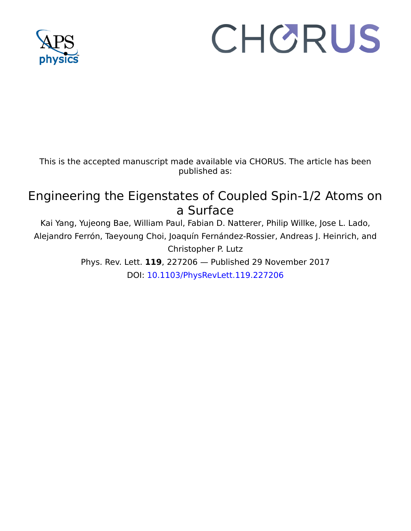

## CHORUS

This is the accepted manuscript made available via CHORUS. The article has been published as:

## Engineering the Eigenstates of Coupled Spin-1/2 Atoms on a Surface

Kai Yang, Yujeong Bae, William Paul, Fabian D. Natterer, Philip Willke, Jose L. Lado, Alejandro Ferrón, Taeyoung Choi, Joaquín Fernández-Rossier, Andreas J. Heinrich, and Christopher P. Lutz

Phys. Rev. Lett. **119**, 227206 — Published 29 November 2017 DOI: [10.1103/PhysRevLett.119.227206](http://dx.doi.org/10.1103/PhysRevLett.119.227206)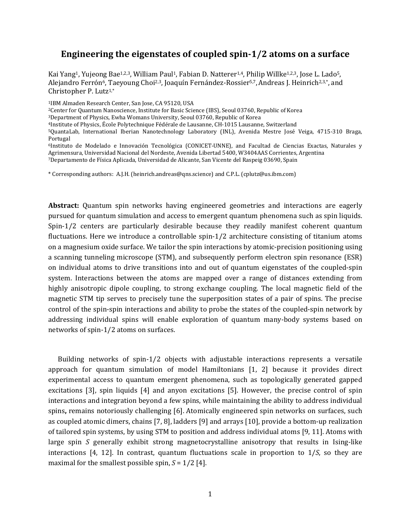## **Engineering the eigenstates of coupled spin-1/2 atoms on a surface**

Kai Yang<sup>1</sup>, Yujeong Bae<sup>1,2,3</sup>, William Paul<sup>1</sup>, Fabian D. Natterer<sup>1,4</sup>, Philip Willke<sup>1,2,3</sup>, Jose L. Lado<sup>5</sup>, Alejandro Ferrón<sup>6</sup>, Taeyoung Choi<sup>2,3</sup>, Joaquín Fernández-Rossier<sup>5,7</sup>, Andreas J. Heinrich<sup>2,3,\*</sup>, and Christopher P. Lutz1,\*

<sup>1</sup>IBM Almaden Research Center, San Jose, CA 95120, USA<br><sup>2</sup>Center for Quantum Nanoscience, Institute for Basic Science (IBS), Seoul 03760, Republic of Korea

<sup>3</sup>Department of Physics, Ewha Womans University, Seoul 03760, Republic of Korea<br><sup>4</sup>Institute of Physics, École Polytechnique Fédérale de Lausanne, CH-1015 Lausanne, Switzerland<br><sup>5</sup>QuantaLab, International Iberian Nanotech Portugal

6Instituto de Modelado e Innovación Tecnológica (CONICET-UNNE), and Facultad de Ciencias Exactas, Naturales y Agrimensura, Universidad Nacional del Nordeste, Avenida Libertad 5400, W3404AAS Corrientes, Argentina<br>7Departamento de Física Aplicada, Universidad de Alicante, San Vicente del Raspeig 03690, Spain

\* Corresponding authors: A.J.H. (heinrich.andreas@qns.science) and C.P.L. (cplutz@us.ibm.com)

**Abstract:** Quantum spin networks having engineered geometries and interactions are eagerly pursued for quantum simulation and access to emergent quantum phenomena such as spin liquids. Spin-1/2 centers are particularly desirable because they readily manifest coherent quantum fluctuations. Here we introduce a controllable spin-1/2 architecture consisting of titanium atoms on a magnesium oxide surface. We tailor the spin interactions by atomic-precision positioning using a scanning tunneling microscope (STM), and subsequently perform electron spin resonance (ESR) on individual atoms to drive transitions into and out of quantum eigenstates of the coupled-spin system. Interactions between the atoms are mapped over a range of distances extending from highly anisotropic dipole coupling, to strong exchange coupling. The local magnetic field of the magnetic STM tip serves to precisely tune the superposition states of a pair of spins. The precise control of the spin-spin interactions and ability to probe the states of the coupled-spin network by addressing individual spins will enable exploration of quantum many-body systems based on networks of spin-1/2 atoms on surfaces.

Building networks of spin-1/2 objects with adjustable interactions represents a versatile approach for quantum simulation of model Hamiltonians [1, 2] because it provides direct experimental access to quantum emergent phenomena, such as topologically generated gapped excitations [3], spin liquids [4] and anyon excitations [5]. However, the precise control of spin interactions and integration beyond a few spins, while maintaining the ability to address individual spins**,** remains notoriously challenging [6]. Atomically engineered spin networks on surfaces, such as coupled atomic dimers, chains [7, 8], ladders [9] and arrays [10], provide a bottom-up realization of tailored spin systems, by using STM to position and address individual atoms [9, 11]. Atoms with large spin *S* generally exhibit strong magnetocrystalline anisotropy that results in Ising-like interactions [4, 12]. In contrast, quantum fluctuations scale in proportion to 1/*S*, so they are maximal for the smallest possible spin,  $S = 1/2$  [4].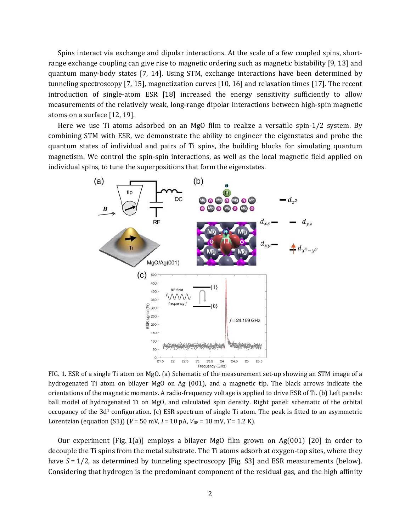Spins interact via exchange and dipolar interactions. At the scale of a few coupled spins, shortrange exchange coupling can give rise to magnetic ordering such as magnetic bistability [9, 13] and quantum many-body states [7, 14]. Using STM, exchange interactions have been determined by tunneling spectroscopy [7, 15], magnetization curves [10, 16] and relaxation times [17]. The recent introduction of single-atom ESR [18] increased the energy sensitivity sufficiently to allow measurements of the relatively weak, long-range dipolar interactions between high-spin magnetic atoms on a surface [12, 19].

Here we use Ti atoms adsorbed on an MgO film to realize a versatile spin-1/2 system. By combining STM with ESR, we demonstrate the ability to engineer the eigenstates and probe the quantum states of individual and pairs of Ti spins, the building blocks for simulating quantum magnetism. We control the spin-spin interactions, as well as the local magnetic field applied on individual spins, to tune the superpositions that form the eigenstates.



FIG. 1. ESR of a single Ti atom on MgO. (a) Schematic of the measurement set-up showing an STM image of a hydrogenated Ti atom on bilayer MgO on Ag (001), and a magnetic tip. The black arrows indicate the orientations of the magnetic moments. A radio-frequency voltage is applied to drive ESR of Ti. (b) Left panels: ball model of hydrogenated Ti on MgO, and calculated spin density. Right panel: schematic of the orbital occupancy of the  $3d<sup>1</sup>$  configuration. (c) ESR spectrum of single Ti atom. The peak is fitted to an asymmetric Lorentzian (equation (S1)) ( $V = 50$  mV,  $I = 10$  pA,  $V_{RF} = 18$  mV,  $T = 1.2$  K).

Our experiment [Fig. 1(a)] employs a bilayer MgO film grown on Ag(001) [20] in order to decouple the Ti spins from the metal substrate. The Ti atoms adsorb at oxygen-top sites, where they have  $S = 1/2$ , as determined by tunneling spectroscopy [Fig. S3] and ESR measurements (below). Considering that hydrogen is the predominant component of the residual gas, and the high affinity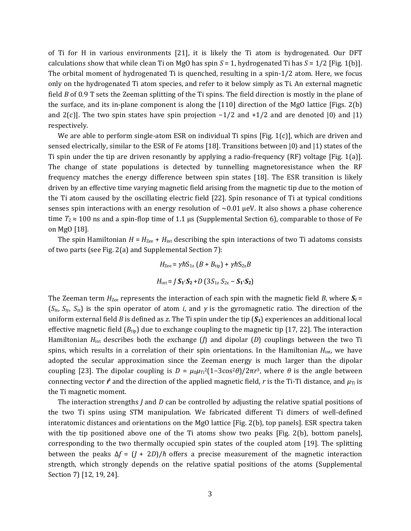of Ti for H in various environments [21], it is likely the Ti atom is hydrogenated. Our DFT calculations show that while clean Ti on MgO has spin  $S = 1$ , hydrogenated Ti has  $S = 1/2$  [Fig. 1(b)]. The orbital moment of hydrogenated Ti is quenched, resulting in a spin-1/2 atom. Here, we focus only on the hydrogenated Ti atom species, and refer to it below simply as Ti. An external magnetic field *B* of 0.9 T sets the Zeeman splitting of the Ti spins. The field direction is mostly in the plane of the surface, and its in-plane component is along the [110] direction of the MgO lattice [Figs. 2(b) and 2(c)]. The two spin states have spin projection  $-1/2$  and  $+1/2$  and are denoted  $|0\rangle$  and  $|1\rangle$ respectively.

We are able to perform single-atom ESR on individual Ti spins [Fig. 1(c)], which are driven and sensed electrically, similar to the ESR of Fe atoms [18]. Transitions between |0⟩ and |1⟩ states of the Ti spin under the tip are driven resonantly by applying a radio-frequency (RF) voltage [Fig. 1(a)]. The change of state populations is detected by tunnelling magnetoresistance when the RF frequency matches the energy difference between spin states [18]. The ESR transition is likely driven by an effective time varying magnetic field arising from the magnetic tip due to the motion of the Ti atom caused by the oscillating electric field [22]. Spin resonance of Ti at typical conditions senses spin interactions with an energy resolution of  $\sim 0.01$  µeV. It also shows a phase coherence time  $T_2 \approx 100$  ns and a spin-flop time of 1.1 µs (Supplemental Section 6), comparable to those of Fe on MgO [18].

The spin Hamiltonian  $H = H_{\text{Zee}} + H_{\text{int}}$  describing the spin interactions of two Ti adatoms consists of two parts (see Fig. 2(a) and Supplemental Section 7):

$$
H_{\text{Zee}} = \gamma \hbar S_{1z} (B + B_{\text{tip}}) + \gamma \hbar S_{2z} B
$$

$$
H_{\text{int}} = J S_1 \cdot S_2 + D (3S_{1z} S_{2z} - S_1 \cdot S_2)
$$

The Zeeman term  $H_{\text{Zee}}$  represents the interaction of each spin with the magnetic field *B*, where  $S_i$  = (*Si*x, *Si*y, *Si*z) is the spin operator of atom *i*, and *γ* is the gyromagnetic ratio. The direction of the uniform external field *B* is defined as *z*. The Ti spin under the tip (*S***1**) experiences an additional local effective magnetic field  $(B_{tip})$  due to exchange coupling to the magnetic tip [17, 22]. The interaction Hamiltonian *H*int describes both the exchange (*J*) and dipolar (*D*) couplings between the two Ti spins, which results in a correlation of their spin orientations. In the Hamiltonian *H*int, we have adopted the secular approximation since the Zeeman energy is much larger than the dipolar coupling [23]. The dipolar coupling is  $D = \mu_0 \mu_{\text{Ti}}^2 (1-3\cos^2\theta)/2\pi r^3$ , where *θ* is the angle between connecting vector  $\hat{\bf r}$  and the direction of the applied magnetic field, r is the Ti-Ti distance, and  $\mu_{\rm Ti}$  is the Ti magnetic moment.

The interaction strengths *J* and *D* can be controlled by adjusting the relative spatial positions of the two Ti spins using STM manipulation. We fabricated different Ti dimers of well-defined interatomic distances and orientations on the MgO lattice [Fig. 2(b), top panels]. ESR spectra taken with the tip positioned above one of the Ti atoms show two peaks [Fig. 2(b), bottom panels], corresponding to the two thermally occupied spin states of the coupled atom [19]. The splitting between the peaks  $\Delta f = (I + 2D)/\hbar$  offers a precise measurement of the magnetic interaction strength, which strongly depends on the relative spatial positions of the atoms (Supplemental Section 7) [12, 19, 24].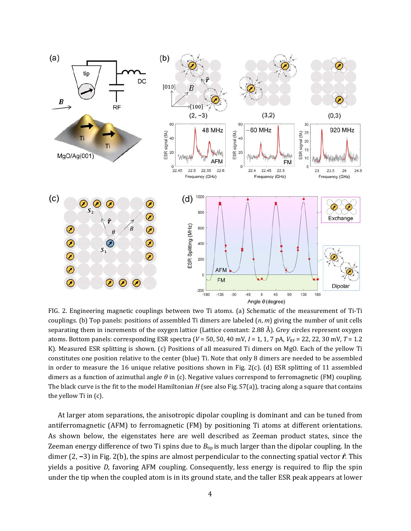

FIG. 2. Engineering magnetic couplings between two Ti atoms. (a) Schematic of the measurement of Ti-Ti couplings. (b) Top panels: positions of assembled Ti dimers are labeled (*n*, *m*) giving the number of unit cells separating them in increments of the oxygen lattice (Lattice constant: 2.88 Å). Grey circles represent oxygen atoms. Bottom panels: corresponding ESR spectra (*V* = 50, 50, 40 mV, *I* = 1, 1, 7 pA, *V*RF = 22, 22, 30 mV, *T* = 1.2 K). Measured ESR splitting is shown. (c) Positions of all measured Ti dimers on MgO. Each of the yellow Ti constitutes one position relative to the center (blue) Ti. Note that only 8 dimers are needed to be assembled in order to measure the 16 unique relative positions shown in Fig. 2(c). (d) ESR splitting of 11 assembled dimers as a function of azimuthal angle *θ* in (c). Negative values correspond to ferromagnetic (FM) coupling. The black curve is the fit to the model Hamiltonian *H* (see also Fig. S7(a)), tracing along a square that contains the yellow Ti in (c).

At larger atom separations, the anisotropic dipolar coupling is dominant and can be tuned from antiferromagnetic (AFM) to ferromagnetic (FM) by positioning Ti atoms at different orientations. As shown below, the eigenstates here are well described as Zeeman product states, since the Zeeman energy difference of two Ti spins due to  $B_{\text{tip}}$  is much larger than the dipolar coupling. In the dimer (2, **−**3) in Fig. 2(b), the spins are almost perpendicular to the connecting spatial vector *r̂*. This yields a positive *D*, favoring AFM coupling. Consequently, less energy is required to flip the spin under the tip when the coupled atom is in its ground state, and the taller ESR peak appears at lower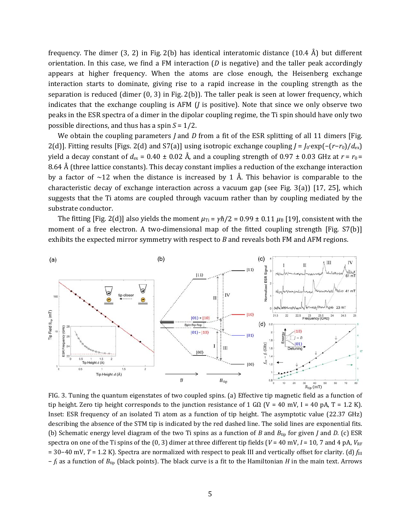frequency. The dimer (3, 2) in Fig. 2(b) has identical interatomic distance (10.4 Å) but different orientation. In this case, we find a FM interaction  $(D \text{ is negative})$  and the taller peak accordingly appears at higher frequency. When the atoms are close enough, the Heisenberg exchange interaction starts to dominate, giving rise to a rapid increase in the coupling strength as the separation is reduced (dimer  $(0, 3)$  in Fig. 2(b)). The taller peak is seen at lower frequency, which indicates that the exchange coupling is AFM (*J* is positive). Note that since we only observe two peaks in the ESR spectra of a dimer in the dipolar coupling regime, the Ti spin should have only two possible directions, and thus has a spin *S* = 1/2.

We obtain the coupling parameters *J* and *D* from a fit of the ESR splitting of all 11 dimers [Fig. 2(d)]. Fitting results [Figs. 2(d) and S7(a)] using isotropic exchange coupling *J* = *J*0∙exp(−(*r*−*r*0)/*d*ex) yield a decay constant of  $d_{\text{ex}} = 0.40 \pm 0.02$  Å, and a coupling strength of 0.97  $\pm$  0.03 GHz at  $r = r_0 =$ 8.64 Å (three lattice constants). This decay constant implies a reduction of the exchange interaction by a factor of  $\sim$ 12 when the distance is increased by 1 Å. This behavior is comparable to the characteristic decay of exchange interaction across a vacuum gap (see Fig. 3(a)) [17, 25], which suggests that the Ti atoms are coupled through vacuum rather than by coupling mediated by the substrate conductor.

The fitting [Fig. 2(d)] also yields the moment  $\mu_{Ti} = \gamma \hbar/2 = 0.99 \pm 0.11 \mu_B$  [19], consistent with the moment of a free electron. A two-dimensional map of the fitted coupling strength [Fig. S7(b)] exhibits the expected mirror symmetry with respect to *B* and reveals both FM and AFM regions.



FIG. 3. Tuning the quantum eigenstates of two coupled spins. (a) Effective tip magnetic field as a function of tip height. Zero tip height corresponds to the junction resistance of 1 G $\Omega$  (V = 40 mV, I = 40 pA, T = 1.2 K). Inset: ESR frequency of an isolated Ti atom as a function of tip height. The asymptotic value (22.37 GHz) describing the absence of the STM tip is indicated by the red dashed line. The solid lines are exponential fits. (b) Schematic energy level diagram of the two Ti spins as a function of *B* and *B*tip for given *J* and *D*. (c) ESR spectra on one of the Ti spins of the  $(0, 3)$  dimer at three different tip fields  $(V = 40 \text{ mV}, I = 10, 7 \text{ and } 4 \text{ pA}, V_{\text{RF}})$ = 30−40 mV, *T* = 1.2 K). Spectra are normalized with respect to peak III and vertically offset for clarity. (d) *f*III − *f*I as a function of *B*tip (black points). The black curve is a fit to the Hamiltonian *H* in the main text. Arrows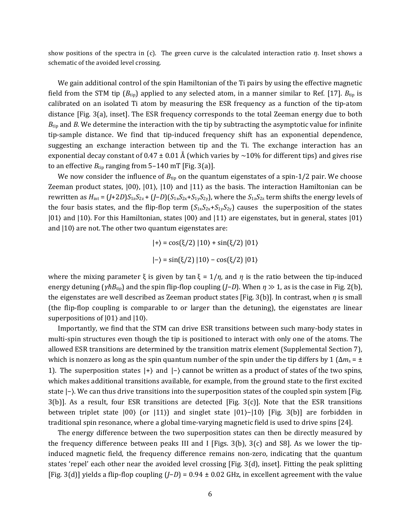show positions of the spectra in (c). The green curve is the calculated interaction ratio *η*. Inset shows a schematic of the avoided level crossing.

We gain additional control of the spin Hamiltonian of the Ti pairs by using the effective magnetic field from the STM tip  $(B_{tip})$  applied to any selected atom, in a manner similar to Ref. [17].  $B_{tip}$  is calibrated on an isolated Ti atom by measuring the ESR frequency as a function of the tip-atom distance [Fig. 3(a), inset]. The ESR frequency corresponds to the total Zeeman energy due to both *B*<sub>tip</sub> and *B*. We determine the interaction with the tip by subtracting the asymptotic value for infinite tip-sample distance. We find that tip-induced frequency shift has an exponential dependence, suggesting an exchange interaction between tip and the Ti. The exchange interaction has an exponential decay constant of  $0.47 \pm 0.01$  Å (which varies by  $\sim 10\%$  for different tips) and gives rise to an effective  $B_{\text{tip}}$  ranging from 5-140 mT [Fig. 3(a)].

We now consider the influence of  $B_{\text{tip}}$  on the quantum eigenstates of a spin-1/2 pair. We choose Zeeman product states, |00⟩, |01⟩, |10⟩ and |11⟩ as the basis. The interaction Hamiltonian can be rewritten as *H*int = (*J*+2*D*)*S*1z*S*2z + (*J*−*D*)(*S*1x*S*2x+*S*1y*S*2y), where the *S*1z*S*2z term shifts the energy levels of the four basis states, and the flip-flop term  $(S_{1x}S_{2x}+S_{1y}S_{2y})$  causes the superposition of the states |01⟩ and |10⟩. For this Hamiltonian, states |00⟩ and |11⟩ are eigenstates, but in general, states |01⟩ and  $|10\rangle$  are not. The other two quantum eigenstates are:

$$
|+\rangle = \cos(\xi/2) |10\rangle + \sin(\xi/2) |01\rangle
$$

$$
|-\rangle = \sin(\xi/2) |10\rangle - \cos(\xi/2) |01\rangle
$$

where the mixing parameter  $\xi$  is given by tan  $\xi = 1/\eta$ , and  $\eta$  is the ratio between the tip-induced energy detuning ( $\gamma \hbar B_{\text{tip}}$ ) and the spin flip-flop coupling (*J*−*D*). When  $\eta \gg 1$ , as is the case in Fig. 2(b), the eigenstates are well described as Zeeman product states [Fig. 3(b)]. In contrast, when *η* is small (the flip-flop coupling is comparable to or larger than the detuning), the eigenstates are linear superpositions of  $|01\rangle$  and  $|10\rangle$ .

Importantly, we find that the STM can drive ESR transitions between such many-body states in multi-spin structures even though the tip is positioned to interact with only one of the atoms. The allowed ESR transitions are determined by the transition matrix element (Supplemental Section 7), which is nonzero as long as the spin quantum number of the spin under the tip differs by 1 ( $\Delta m_s = \pm$ 1). The superposition states |+⟩ and |−⟩ cannot be written as a product of states of the two spins, which makes additional transitions available, for example, from the ground state to the first excited state  $\vert$ − $\rangle$ . We can thus drive transitions into the superposition states of the coupled spin system [Fig.  $3(b)$ ]. As a result, four ESR transitions are detected [Fig.  $3(c)$ ]. Note that the ESR transitions between triplet state |00⟩ (or |11⟩) and singlet state |01⟩−|10⟩ [Fig. 3(b)] are forbidden in traditional spin resonance, where a global time-varying magnetic field is used to drive spins [24].

The energy difference between the two superposition states can then be directly measured by the frequency difference between peaks III and I [Figs. 3(b), 3(c) and S8]. As we lower the tipinduced magnetic field, the frequency difference remains non-zero, indicating that the quantum states 'repel' each other near the avoided level crossing [Fig. 3(d), inset]. Fitting the peak splitting [Fig. 3(d)] yields a flip-flop coupling (*J*−*D*) = 0.94 ± 0.02 GHz, in excellent agreement with the value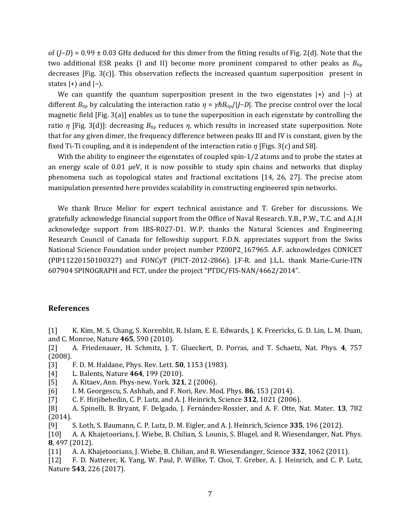of (*J*−*D*) = 0.99 ± 0.03 GHz deduced for this dimer from the fitting results of Fig. 2(d). Note that the two additional ESR peaks (I and II) become more prominent compared to other peaks as  $B_{\text{tip}}$ decreases [Fig. 3(c)]. This observation reflects the increased quantum superposition present in states  $|+\rangle$  and  $|-\rangle$ .

We can quantify the quantum superposition present in the two eigenstates  $|+\rangle$  and  $|-\rangle$  at different *B*tip by calculating the interaction ratio *η* = *γћB*tip/|*J*−*D*|. The precise control over the local magnetic field [Fig. 3(a)] enables us to tune the superposition in each eigenstate by controlling the ratio *η* [Fig. 3(d)]: decreasing *B*tip reduces *η*, which results in increased state superposition. Note that for any given dimer, the frequency difference between peaks III and IV is constant, given by the fixed Ti-Ti coupling, and it is independent of the interaction ratio *η* [Figs. 3(c) and S8].

With the ability to engineer the eigenstates of coupled spin-1/2 atoms and to probe the states at an energy scale of 0.01 μeV, it is now possible to study spin chains and networks that display phenomena such as topological states and fractional excitations [14, 26, 27]. The precise atom manipulation presented here provides scalability in constructing engineered spin networks.

We thank Bruce Melior for expert technical assistance and T. Greber for discussions. We gratefully acknowledge financial support from the Office of Naval Research. Y.B., P.W., T.C. and A.J.H acknowledge support from IBS-R027-D1. W.P. thanks the Natural Sciences and Engineering Research Council of Canada for fellowship support. F.D.N. appreciates support from the Swiss National Science Foundation under project number PZ00P2\_167965. A.F. acknowledges CONICET (PIP11220150100327) and FONCyT (PICT-2012-2866). J.F-R. and J.L.L. thank Marie-Curie-ITN 607904 SPINOGRAPH and FCT, under the project "PTDC/FIS-NAN/4662/2014".

## **References**

[1] K. Kim, M. S. Chang, S. Korenblit, R. Islam, E. E. Edwards, J. K. Freericks, G. D. Lin, L. M. Duan, and C. Monroe, Nature **465**, 590 (2010).

[2] A. Friedenauer, H. Schmitz, J. T. Glueckert, D. Porras, and T. Schaetz, Nat. Phys. **4**, 757 (2008).

[3] F. D. M. Haldane, Phys. Rev. Lett. **50**, 1153 (1983).

- [4] L. Balents, Nature **464**, 199 (2010).
- [5] A. Kitaev, Ann. Phys-new. York. **321**, 2 (2006).
- [6] I. M. Georgescu, S. Ashhab, and F. Nori, Rev. Mod. Phys. **86**, 153 (2014).
- [7] C. F. Hirjibehedin, C. P. Lutz, and A. J. Heinrich, Science **312**, 1021 (2006).
- [8] A. Spinelli, B. Bryant, F. Delgado, J. Fernández-Rossier, and A. F. Otte, Nat. Mater. **13**, 782 (2014).
- [9] S. Loth, S. Baumann, C. P. Lutz, D. M. Eigler, and A. J. Heinrich, Science **335**, 196 (2012).

[10] A. A. Khajetoorians, J. Wiebe, B. Chilian, S. Lounis, S. Blugel, and R. Wiesendanger, Nat. Phys. **8**, 497 (2012).

[11] A. A. Khajetoorians, J. Wiebe, B. Chilian, and R. Wiesendanger, Science **332**, 1062 (2011).

[12] F. D. Natterer, K. Yang, W. Paul, P. Willke, T. Choi, T. Greber, A. J. Heinrich, and C. P. Lutz, Nature **543**, 226 (2017).